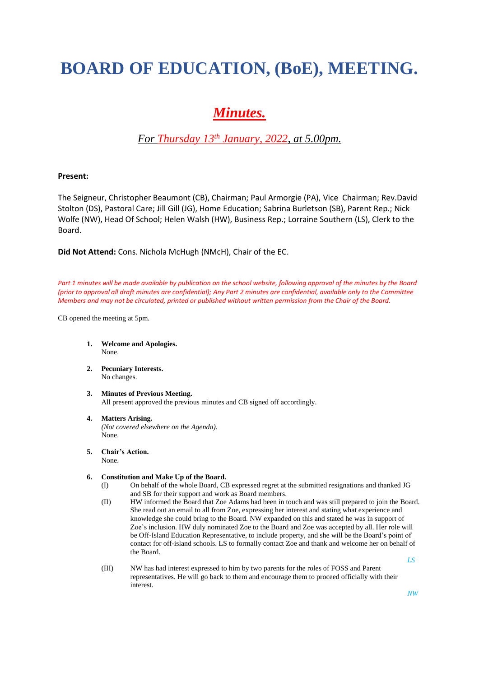# **BOARD OF EDUCATION, (BoE), MEETING.**

## *Minutes.*

### *For Thursday 13 th January, 2022, at 5.00pm.*

#### **Present:**

The Seigneur, Christopher Beaumont (CB), Chairman; Paul Armorgie (PA), Vice Chairman; Rev.David Stolton (DS), Pastoral Care; Jill Gill (JG), Home Education; Sabrina Burletson (SB), Parent Rep.; Nick Wolfe (NW), Head Of School; Helen Walsh (HW), Business Rep.; Lorraine Southern (LS), Clerk to the Board.

**Did Not Attend:** Cons. Nichola McHugh (NMcH), Chair of the EC.

*Part 1 minutes will be made available by publication on the school website, following approval of the minutes by the Board (prior to approval all draft minutes are confidential); Any Part 2 minutes are confidential, available only to the Committee Members and may not be circulated, printed or published without written permission from the Chair of the Board.*

CB opened the meeting at 5pm.

- **1. Welcome and Apologies.** None.
- **2. Pecuniary Interests.** No changes.
- **3. Minutes of Previous Meeting.** All present approved the previous minutes and CB signed off accordingly.

#### **4. Matters Arising.**

*(Not covered elsewhere on the Agenda).* None.

- **5. Chair's Action.**
- None.

#### **6. Constitution and Make Up of the Board.**

- (I) On behalf of the whole Board, CB expressed regret at the submitted resignations and thanked JG and SB for their support and work as Board members.
- (II) HW informed the Board that Zoe Adams had been in touch and was still prepared to join the Board. She read out an email to all from Zoe, expressing her interest and stating what experience and knowledge she could bring to the Board. NW expanded on this and stated he was in support of Zoe's inclusion. HW duly nominated Zoe to the Board and Zoe was accepted by all. Her role will be Off-Island Education Representative, to include property, and she will be the Board's point of contact for off-island schools. LS to formally contact Zoe and thank and welcome her on behalf of the Board. *LS*
- (III) NW has had interest expressed to him by two parents for the roles of FOSS and Parent representatives. He will go back to them and encourage them to proceed officially with their interest.

*NW*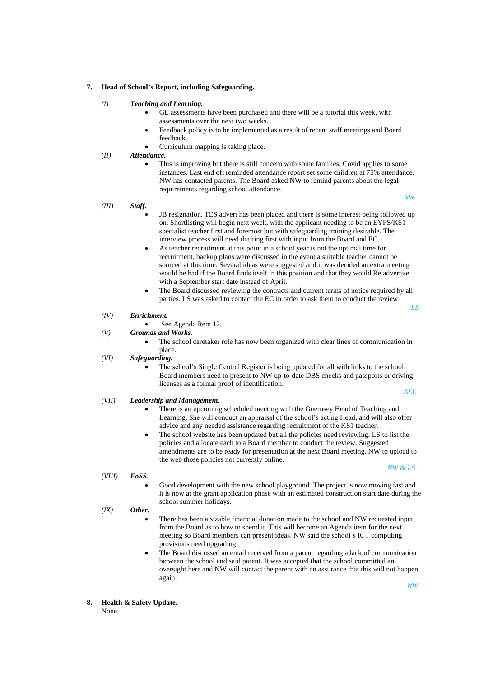#### **7. Head of School's Report, including Safeguarding.**

#### *(I) Teaching and Learning.*

- GL assessments have been purchased and there will be a tutorial this week, with assessments over the next two weeks.
- Feedback policy is to be implemented as a result of recent staff meetings and Board feedback.
- Curriculum mapping is taking place.
- *(II) Attendance.*
	- This is improving but there is still concern with some families. Covid applies to some instances. Last end oft reminded attendance report set some children at 75% attendance. NW has contacted parents. The Board asked NW to remind parents about the legal requirements regarding school attendance. *NW*

#### *(III) Staff.*

- JB resignation. TES advert has been placed and there is some interest being followed up on. Shortlisting will begin next week, with the applicant needing to be an EYFS/KS1 specialist teacher first and foremost but with safeguarding training desirable. The interview process will need drafting first with input from the Board and EC.
- As teacher recruitment at this point in a school year is not the optimal time for recruitment, backup plans were discussed in the event a suitable teacher cannot be sourced at this time. Several ideas were suggested and it was decided an extra meeting would be had if the Board finds itself in this position and that they would Re advertise with a September start date instead of April.
- The Board discussed reviewing the contracts and current terms of notice required by all parties. LS was asked to contact the EC in order to ask them to conduct the review.

 *LS*

#### *(IV) Enrichment.*

- See Agenda Item 12.
- *(V) Grounds and Works.*
	- The school caretaker role has now been organized with clear lines of communication in place.

#### *(VI) Safeguarding.*

The school's Single Central Register is being updated for all with links to the school. Board members need to present to NW up-to-date DBS checks and passports or driving licenses as a formal proof of identification.  *ALL*

#### *(VII) Leadership and Management.*

- There is an upcoming scheduled meeting with the Guernsey Head of Teaching and Learning. She will conduct an appraisal of the school's acting Head, and will also offer advice and any needed assistance regarding recruitment of the KS1 teacher.
- The school website has been updated but all the policies need reviewing. LS to list the policies and allocate each to a Board member to conduct the review. Suggested amendments are to be ready for presentation at the next Board meeting. NW to upload to the web those policies not currently online.

#### *(VIII) FoSS.*

- *NW & LS*
- Good development with the new school playground. The project is now moving fast and it is now at the grant application phase with an estimated construction start date during the school summer holidays.

#### *(IX) Other.*

- There has been a sizable financial donation made to the school and NW requested input from the Board as to how to spend it. This will become an Agenda item for the next meeting so Board members can present ideas. NW said the school's ICT computing provisions need upgrading.
- The Board discussed an email received from a parent regarding a lack of communication between the school and said parent. It was accepted that the school committed an oversight here and NW will contact the parent with an assurance that this will not happen again.
- **8. Health & Safety Update.** None.